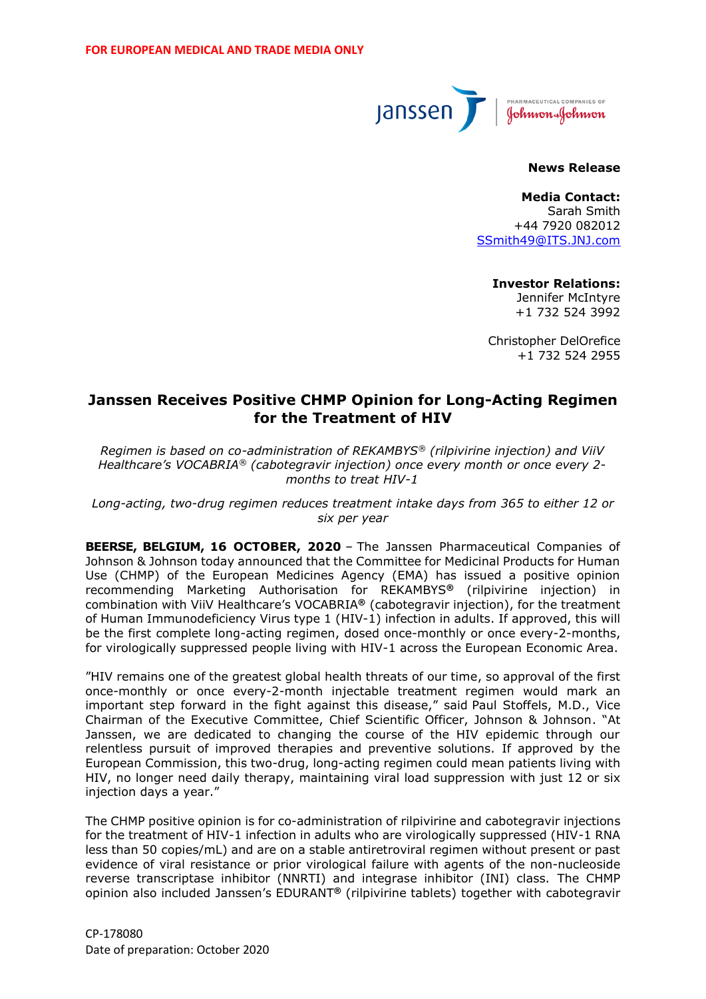

# **News Release**

**Media Contact:** Sarah Smith +44 7920 082012 [SSmith49@ITS.JNJ.com](mailto:SSmith49@ITS.JNJ.com)

> **Investor Relations:** Jennifer McIntyre +1 732 524 3992

Christopher DelOrefice +1 732 524 2955

# **Janssen Receives Positive CHMP Opinion for Long-Acting Regimen for the Treatment of HIV**

*Regimen is based on co-administration of REKAMBYS® (rilpivirine injection) and ViiV Healthcare's VOCABRIA® (cabotegravir injection) once every month or once every 2 months to treat HIV-1*

*Long-acting, two-drug regimen reduces treatment intake days from 365 to either 12 or six per year*

**BEERSE, BELGIUM, 16 OCTOBER, 2020** *–* The Janssen Pharmaceutical Companies of Johnson & Johnson today announced that the Committee for Medicinal Products for Human Use (CHMP) of the European Medicines Agency (EMA) has issued a positive opinion recommending Marketing Authorisation for REKAMBYS**®** (rilpivirine injection) in combination with ViiV Healthcare's VOCABRIA**®** (cabotegravir injection), for the treatment of Human Immunodeficiency Virus type 1 (HIV-1) infection in adults. If approved, this will be the first complete long-acting regimen, dosed once-monthly or once every-2-months, for virologically suppressed people living with HIV-1 across the European Economic Area.

"HIV remains one of the greatest global health threats of our time, so approval of the first once-monthly or once every-2-month injectable treatment regimen would mark an important step forward in the fight against this disease," said Paul Stoffels, M.D., Vice Chairman of the Executive Committee, Chief Scientific Officer, Johnson & Johnson. "At Janssen, we are dedicated to changing the course of the HIV epidemic through our relentless pursuit of improved therapies and preventive solutions. If approved by the European Commission, this two-drug, long-acting regimen could mean patients living with HIV, no longer need daily therapy, maintaining viral load suppression with just 12 or six injection days a year."

The CHMP positive opinion is for co-administration of rilpivirine and cabotegravir injections for the treatment of HIV-1 infection in adults who are virologically suppressed (HIV-1 RNA less than 50 copies/mL) and are on a stable antiretroviral regimen without present or past evidence of viral resistance or prior virological failure with agents of the non-nucleoside reverse transcriptase inhibitor (NNRTI) and integrase inhibitor (INI) class. The CHMP opinion also included Janssen's EDURANT**®** (rilpivirine tablets) together with cabotegravir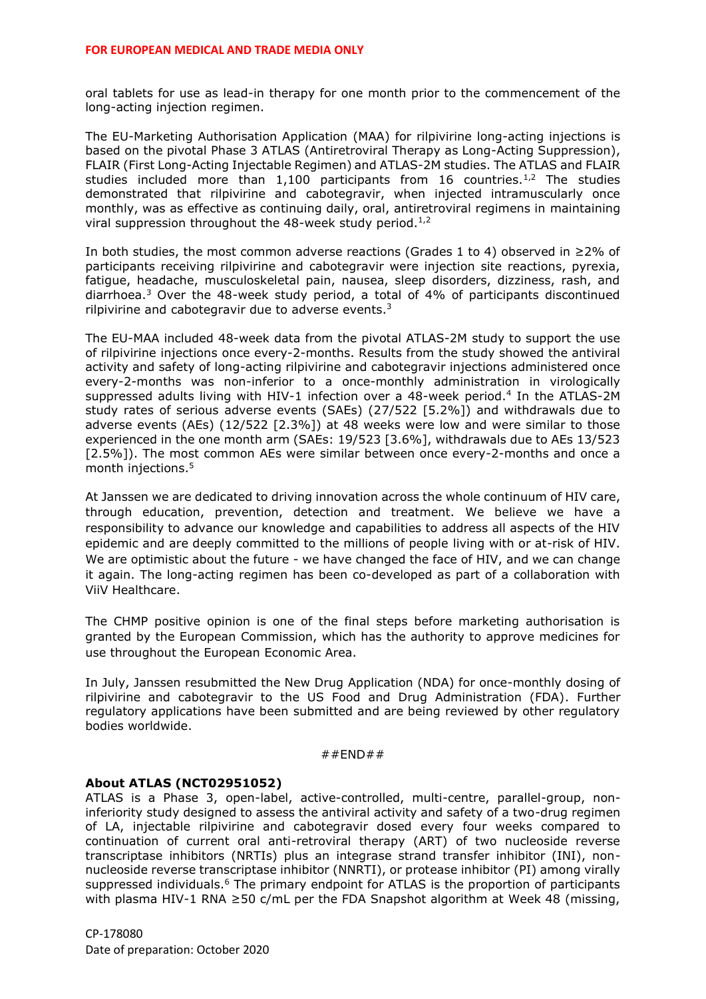oral tablets for use as lead-in therapy for one month prior to the commencement of the long-acting injection regimen.

<span id="page-1-1"></span><span id="page-1-0"></span>The EU-Marketing Authorisation Application (MAA) for rilpivirine long-acting injections is based on the pivotal Phase 3 ATLAS (Antiretroviral Therapy as Long-Acting Suppression), FLAIR (First Long-Acting Injectable Regimen) and ATLAS-2M studies. The ATLAS and FLAIR studies included more than  $1,100$  participants from 16 countries.<sup>1,2</sup> The studies demonstrated that rilpivirine and cabotegravir, when injected intramuscularly once monthly, was as effective as continuing daily, oral, antiretroviral regimens in maintaining viral suppression throughout the 48-week study period.<sup>[1](#page-1-0)[,2](#page-1-1)</sup>

<span id="page-1-2"></span>In both studies, the most common adverse reactions (Grades 1 to 4) observed in ≥2% of participants receiving rilpivirine and cabotegravir were injection site reactions, pyrexia, fatigue, headache, musculoskeletal pain, nausea, sleep disorders, dizziness, rash, and diarrhoea.<sup>3</sup> Over the 48-week study period, a total of 4% of participants discontinued rilpivirine and cabotegravir due to adverse events. $3$ 

The EU-MAA included 48-week data from the pivotal ATLAS-2M study to support the use of rilpivirine injections once every-2-months. Results from the study showed the antiviral activity and safety of long-acting rilpivirine and cabotegravir injections administered once every-2-months was non-inferior to a once-monthly administration in virologically suppressed adults living with HIV-1 infection over a  $48$ -week period.<sup>4</sup> In the ATLAS-2M study rates of serious adverse events (SAEs) (27/522 [5.2%]) and withdrawals due to adverse events (AEs) (12/522 [2.3%]) at 48 weeks were low and were similar to those experienced in the one month arm (SAEs: 19/523 [3.6%], withdrawals due to AEs 13/523 [2.5%]). The most common AEs were similar between once every-2-months and once a month injections.<sup>5</sup>

At Janssen we are dedicated to driving innovation across the whole continuum of HIV care, through education, prevention, detection and treatment. We believe we have a responsibility to advance our knowledge and capabilities to address all aspects of the HIV epidemic and are deeply committed to the millions of people living with or at-risk of HIV. We are optimistic about the future - we have changed the face of HIV, and we can change it again. The long-acting regimen has been co-developed as part of a collaboration with ViiV Healthcare.

The CHMP positive opinion is one of the final steps before marketing authorisation is granted by the European Commission, which has the authority to approve medicines for use throughout the European Economic Area.

In July, Janssen resubmitted the New Drug Application (NDA) for once-monthly dosing of rilpivirine and cabotegravir to the US Food and Drug Administration (FDA). Further regulatory applications have been submitted and are being reviewed by other regulatory bodies worldwide.

#### $#$ #END##

#### **About ATLAS (NCT02951052)**

<span id="page-1-3"></span>ATLAS is a Phase 3, open-label, active-controlled, multi-centre, parallel-group, noninferiority study designed to assess the antiviral activity and safety of a two-drug regimen of LA, injectable rilpivirine and cabotegravir dosed every four weeks compared to continuation of current oral anti-retroviral therapy (ART) of two nucleoside reverse transcriptase inhibitors (NRTIs) plus an integrase strand transfer inhibitor (INI), nonnucleoside reverse transcriptase inhibitor (NNRTI), or protease inhibitor (PI) among virally suppressed individuals.<sup>6</sup> The primary endpoint for ATLAS is the proportion of participants with plasma HIV-1 RNA ≥50 c/mL per the FDA Snapshot algorithm at Week 48 (missing,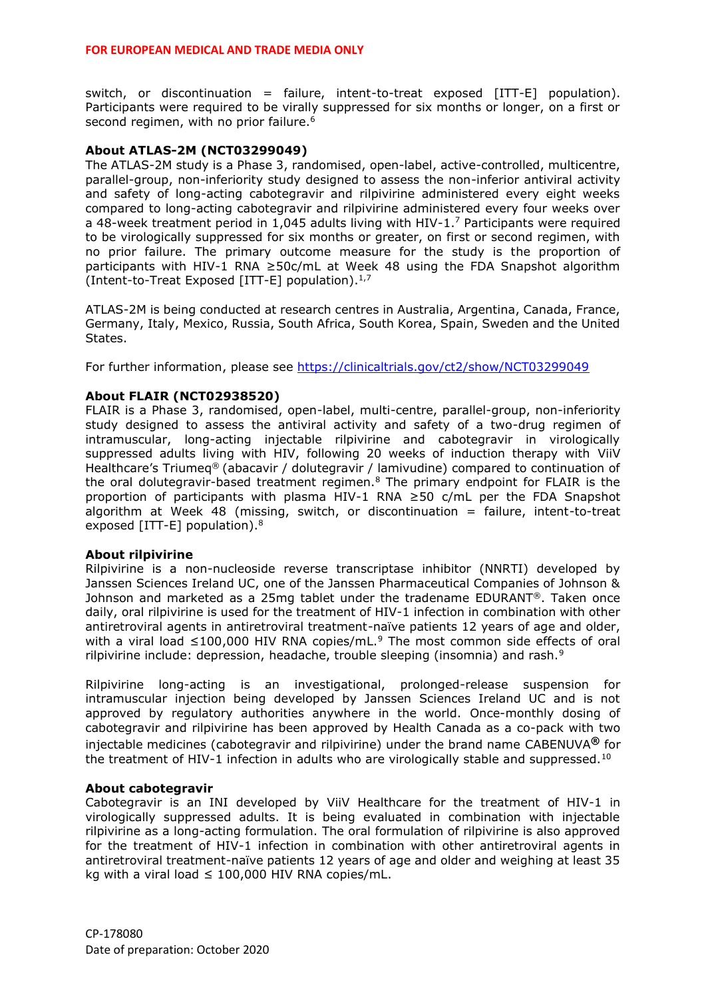#### **FOR EUROPEAN MEDICAL AND TRADE MEDIA ONLY**

switch, or discontinuation = failure, intent-to-treat exposed  $[ITT-E]$  population). Participants were required to be virally suppressed for six months or longer, on a first or second regimen, with no prior failure.<sup>[6](#page-1-3)</sup>

#### **About ATLAS-2M (NCT03299049)**

The ATLAS-2M study is a Phase 3, randomised, open-label, active-controlled, multicentre, parallel-group, non-inferiority study designed to assess the non-inferior antiviral activity and safety of long-acting cabotegravir and rilpivirine administered every eight weeks compared to long-acting cabotegravir and rilpivirine administered every four weeks over a 48-week treatment period in 1,045 adults living with HIV-1.<sup>[7](#page-2-0)</sup> Participants were required to be virologically suppressed for six months or greater, on first or second regimen, with no prior failure. The primary outcome measure for the study is the proportion of participants with HIV-1 RNA ≥50c/mL at Week 48 using the FDA Snapshot algorithm (Intent-to-Treat Exposed [ITT-E] population). $1,7$  $1,7$ 

<span id="page-2-0"></span>ATLAS-2M is being conducted at research centres in Australia, Argentina, Canada, France, Germany, Italy, Mexico, Russia, South Africa, South Korea, Spain, Sweden and the United States.

For further information, please see<https://clinicaltrials.gov/ct2/show/NCT03299049>

#### **About FLAIR (NCT02938520)**

<span id="page-2-1"></span>FLAIR is a Phase 3, randomised, open-label, multi-centre, parallel-group, non-inferiority study designed to assess the antiviral activity and safety of a two-drug regimen of intramuscular, long-acting injectable rilpivirine and cabotegravir in virologically suppressed adults living with HIV, following 20 weeks of induction therapy with ViiV Healthcare's Triumeq® (abacavir / dolutegravir / lamivudine) compared to continuation of the oral dolutegravir-based treatment regimen.<sup>8</sup> The primary endpoint for FLAIR is the proportion of participants with plasma HIV-1 RNA ≥50 c/mL per the FDA Snapshot algorithm at Week 48 (missing, switch, or discontinuation  $=$  failure, intent-to-treat exposed [ITT-E] population). $8$ 

#### **About rilpivirine**

Rilpivirine is a non-nucleoside reverse transcriptase inhibitor (NNRTI) developed by Janssen Sciences Ireland UC, one of the Janssen Pharmaceutical Companies of Johnson & Johnson and marketed as a 25mg tablet under the tradename EDURANT®. Taken once daily, oral rilpivirine is used for the treatment of HIV-1 infection in combination with other antiretroviral agents in antiretroviral treatment-naïve patients 12 years of age and older, with a viral load  $\leq$ 100,000 HIV RNA copies/mL.<sup>9</sup> The most common side effects of oral rilpivirine include: depression, headache, trouble sleeping (insomnia) and rash. $9$ 

<span id="page-2-2"></span>Rilpivirine long-acting is an investigational, prolonged-release suspension for intramuscular injection being developed by Janssen Sciences Ireland UC and is not approved by regulatory authorities anywhere in the world. Once-monthly dosing of cabotegravir and rilpivirine has been approved by Health Canada as a co-pack with two injectable medicines (cabotegravir and rilpivirine) under the brand name CABENUVA**®** for the treatment of HIV-1 infection in adults who are virologically stable and suppressed.<sup>10</sup>

#### **About cabotegravir**

Cabotegravir is an INI developed by ViiV Healthcare for the treatment of HIV-1 in virologically suppressed adults. It is being evaluated in combination with injectable rilpivirine as a long-acting formulation. The oral formulation of rilpivirine is also approved for the treatment of HIV-1 infection in combination with other antiretroviral agents in antiretroviral treatment-naïve patients 12 years of age and older and weighing at least 35 kg with a viral load  $\leq 100,000$  HIV RNA copies/mL.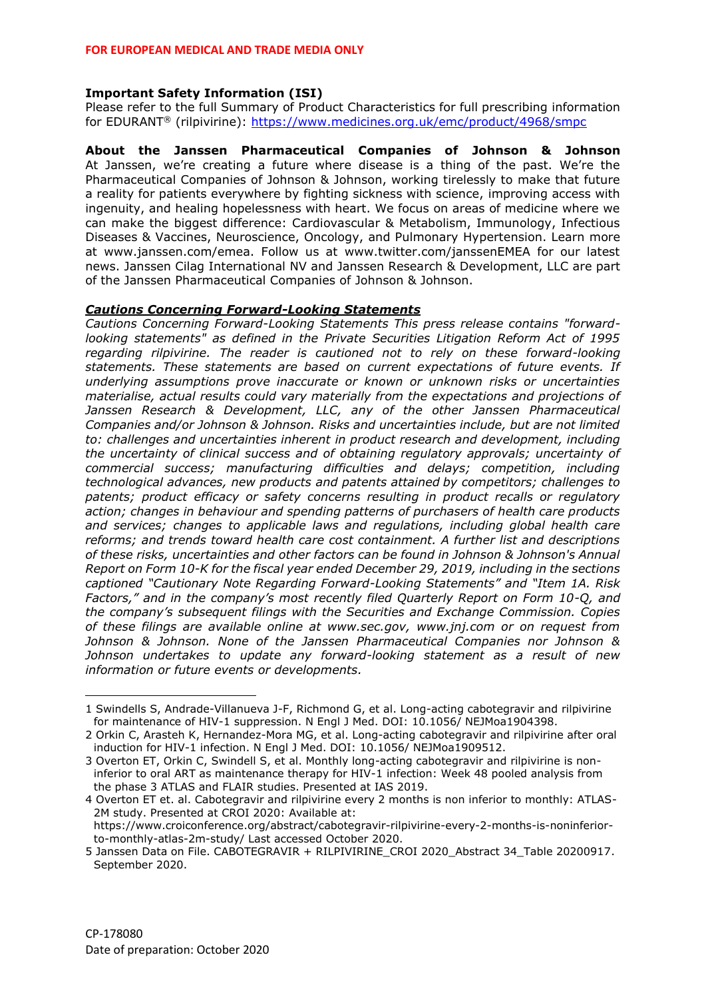# **Important Safety Information (ISI)**

Please refer to the full Summary of Product Characteristics for full prescribing information for EDURANT<sup>®</sup> (rilpivirine):<https://www.medicines.org.uk/emc/product/4968/smpc>

**About the Janssen Pharmaceutical Companies of Johnson & Johnson** At Janssen, we're creating a future where disease is a thing of the past. We're the Pharmaceutical Companies of Johnson & Johnson, working tirelessly to make that future a reality for patients everywhere by fighting sickness with science, improving access with ingenuity, and healing hopelessness with heart. We focus on areas of medicine where we can make the biggest difference: Cardiovascular & Metabolism, Immunology, Infectious Diseases & Vaccines, Neuroscience, Oncology, and Pulmonary Hypertension. Learn more at www.janssen.com/emea. Follow us at www.twitter.com/janssenEMEA for our latest news. Janssen Cilag International NV and Janssen Research & Development, LLC are part of the Janssen Pharmaceutical Companies of Johnson & Johnson.

# *Cautions Concerning Forward-Looking Statements*

*Cautions Concerning Forward-Looking Statements This press release contains "forwardlooking statements" as defined in the Private Securities Litigation Reform Act of 1995 regarding rilpivirine. The reader is cautioned not to rely on these forward-looking statements. These statements are based on current expectations of future events. If underlying assumptions prove inaccurate or known or unknown risks or uncertainties materialise, actual results could vary materially from the expectations and projections of Janssen Research & Development, LLC, any of the other Janssen Pharmaceutical Companies and/or Johnson & Johnson. Risks and uncertainties include, but are not limited to: challenges and uncertainties inherent in product research and development, including the uncertainty of clinical success and of obtaining regulatory approvals; uncertainty of commercial success; manufacturing difficulties and delays; competition, including technological advances, new products and patents attained by competitors; challenges to patents; product efficacy or safety concerns resulting in product recalls or regulatory action; changes in behaviour and spending patterns of purchasers of health care products and services; changes to applicable laws and regulations, including global health care reforms; and trends toward health care cost containment. A further list and descriptions of these risks, uncertainties and other factors can be found in Johnson & Johnson's Annual Report on Form 10-K for the fiscal year ended December 29, 2019, including in the sections captioned "Cautionary Note Regarding Forward-Looking Statements" and "Item 1A. Risk Factors," and in the company's most recently filed Quarterly Report on Form 10-Q, and the company's subsequent filings with the Securities and Exchange Commission. Copies of these filings are available online at www.sec.gov, www.jnj.com or on request from Johnson & Johnson. None of the Janssen Pharmaceutical Companies nor Johnson & Johnson undertakes to update any forward-looking statement as a result of new information or future events or developments.*

<sup>1</sup> Swindells S, Andrade-Villanueva J-F, Richmond G, et al. Long-acting cabotegravir and rilpivirine for maintenance of HIV-1 suppression. N Engl J Med. DOI: 10.1056/ NEJMoa1904398.

<sup>2</sup> Orkin C, Arasteh K, Hernandez-Mora MG, et al. Long-acting cabotegravir and rilpivirine after oral induction for HIV-1 infection. N Engl J Med. DOI: 10.1056/ NEJMoa1909512.

<sup>3</sup> Overton ET, Orkin C, Swindell S, et al. Monthly long-acting cabotegravir and rilpivirine is noninferior to oral ART as maintenance therapy for HIV-1 infection: Week 48 pooled analysis from the phase 3 ATLAS and FLAIR studies. Presented at IAS 2019.

<sup>4</sup> Overton ET et. al. Cabotegravir and rilpivirine every 2 months is non inferior to monthly: ATLAS-2M study. Presented at CROI 2020: Available at:

https://www.croiconference.org/abstract/cabotegravir-rilpivirine-every-2-months-is-noninferiorto-monthly-atlas-2m-study/ Last accessed October 2020.

<sup>5</sup> Janssen Data on File. CABOTEGRAVIR + RILPIVIRINE CROI 2020 Abstract 34 Table 20200917. September 2020.